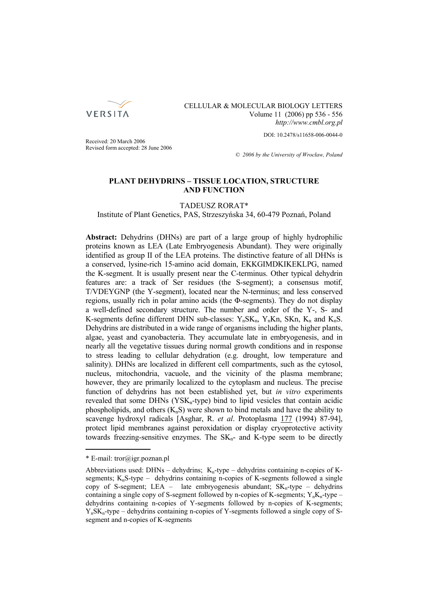

# CELLULAR & MOLECULAR BIOLOGY LETTERS Volume 11 (2006) pp 536 - 556 *http://www.cmbl.org.pl*

DOI: 10.2478/s11658-006-0044-0

Received: 20 March 2006 Revised form accepted: 28 June 2006

*© 2006 by the University of Wrocław, Poland*

# **PLANT DEHYDRINS – TISSUE LOCATION, STRUCTURE AND FUNCTION**

#### TADEUSZ RORAT\*

Institute of Plant Genetics, PAS, Strzeszyńska 34, 60-479 Poznań, Poland

**Abstract:** Dehydrins (DHNs) are part of a large group of highly hydrophilic proteins known as LEA (Late Embryogenesis Abundant). They were originally identified as group II of the LEA proteins. The distinctive feature of all DHNs is a conserved, lysine-rich 15-amino acid domain, EKKGIMDKIKEKLPG, named the K-segment. It is usually present near the C-terminus. Other typical dehydrin features are: a track of Ser residues (the S-segment); a consensus motif, T/VDEYGNP (the Y-segment), located near the N-terminus; and less conserved regions, usually rich in polar amino acids (the Φ-segments). They do not display a well-defined secondary structure. The number and order of the Y-, S- and K-segments define different DHN sub-classes:  $Y_n SK_n$ ,  $Y_n Kn$ , SKn,  $K_n$  and  $K_n S$ . Dehydrins are distributed in a wide range of organisms including the higher plants, algae, yeast and cyanobacteria. They accumulate late in embryogenesis, and in nearly all the vegetative tissues during normal growth conditions and in response to stress leading to cellular dehydration (e.g. drought, low temperature and salinity). DHNs are localized in different cell compartments, such as the cytosol, nucleus, mitochondria, vacuole, and the vicinity of the plasma membrane; however, they are primarily localized to the cytoplasm and nucleus. The precise function of dehydrins has not been established yet, but *in vitro* experiments revealed that some DHNs  $(YSK<sub>n</sub>-type)$  bind to lipid vesicles that contain acidic phospholipids, and others  $(K_nS)$  were shown to bind metals and have the ability to scavenge hydroxyl radicals [Asghar, R. *et al*. Protoplasma 177 (1994) 87-94], protect lipid membranes against peroxidation or display cryoprotective activity towards freezing-sensitive enzymes. The  $SK_n$ - and  $K$ -type seem to be directly

<sup>\*</sup> E-mail: tror@igr.poznan.pl

Abbreviations used: DHNs – dehydrins;  $K_n$ -type – dehydrins containing n-copies of Ksegments;  $K_nS$ -type – dehydrins containing n-copies of K-segments followed a single copy of S-segment; LEA – late embryogenesis abundant;  $SK_n$ -type – dehydrins containing a single copy of S-segment followed by n-copies of K-segments;  $Y_nK_n$ -type – dehydrins containing n-copies of Y-segments followed by n-copies of K-segments;  $Y_n SK_n$ -type – dehydrins containing n-copies of Y-segments followed a single copy of Ssegment and n-copies of K-segments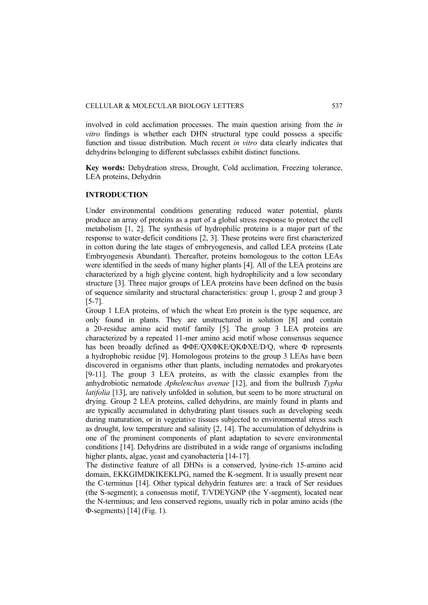involved in cold acclimation processes. The main question arising from the *in vitro* findings is whether each DHN structural type could possess a specific function and tissue distribution. Much recent *in vitro* data clearly indicates that dehydrins belonging to different subclasses exhibit distinct functions.

**Key words:** Dehydration stress, Drought, Cold acclimation, Freezing tolerance, LEA proteins, Dehydrin

### **INTRODUCTION**

Under environmental conditions generating reduced water potential, plants produce an array of proteins as a part of a global stress response to protect the cell metabolism [1, 2]. The synthesis of hydrophilic proteins is a major part of the response to water-deficit conditions [2, 3]. These proteins were first characterized in cotton during the late stages of embryogenesis, and called LEA proteins (Late Embryogenesis Abundant). Thereafter, proteins homologous to the cotton LEAs were identified in the seeds of many higher plants [4]. All of the LEA proteins are characterized by a high glycine content, high hydrophilicity and a low secondary structure [3]. Three major groups of LEA proteins have been defined on the basis of sequence similarity and structural characteristics: group 1, group 2 and group 3 [5-7].

Group 1 LEA proteins, of which the wheat Em protein is the type sequence, are only found in plants. They are unstructured in solution [8] and contain a 20-residue amino acid motif family [5]. The group 3 LEA proteins are characterized by a repeated 11-mer amino acid motif whose consensus sequence has been broadly defined as ΦΦE/QXΦKE/QKΦXE/D/Q, where Φ represents a hydrophobic residue [9]. Homologous proteins to the group 3 LEAs have been discovered in organisms other than plants, including nematodes and prokaryotes [9-11]. The group 3 LEA proteins, as with the classic examples from the anhydrobiotic nematode *Aphelenchus avenae* [12], and from the bullrush *Typha latifolia* [13], are natively unfolded in solution, but seem to be more structural on drying. Group 2 LEA proteins, called dehydrins, are mainly found in plants and are typically accumulated in dehydrating plant tissues such as developing seeds during maturation, or in vegetative tissues subjected to environmental stress such as drought, low temperature and salinity [2, 14]. The accumulation of dehydrins is one of the prominent components of plant adaptation to severe environmental conditions [14]. Dehydrins are distributed in a wide range of organisms including higher plants, algae, yeast and cyanobacteria [14-17].

The distinctive feature of all DHNs is a conserved, lysine-rich 15-amino acid domain, EKKGIMDKIKEKLPG, named the K-segment. It is usually present near the C-terminus [14]. Other typical dehydrin features are: a track of Ser residues (the S-segment); a consensus motif, T/VDEYGNP (the Y-segment), located near the N-terminus; and less conserved regions, usually rich in polar amino acids (the Φ-segments) [14] (Fig. 1).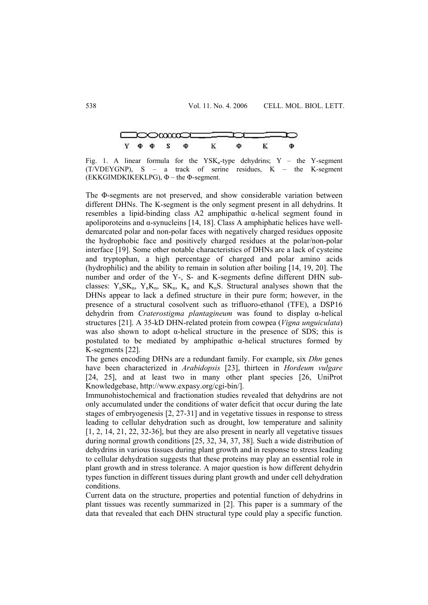

Fig. 1. A linear formula for the  $YSK_n$ -type dehydrins; Y – the Y-segment  $(T/VDEYGNP)$ , S – a track of serine residues, K – the K-segment (EKKGIMDKIKEKLPG),  $\Phi$  – the  $\Phi$ -segment.

The Φ-segments are not preserved, and show considerable variation between different DHNs. The K-segment is the only segment present in all dehydrins. It resembles a lipid-binding class A2 amphipathic α-helical segment found in apoliporoteins and α-synucleins [14, 18]. Class A amphiphatic helices have welldemarcated polar and non-polar faces with negatively charged residues opposite the hydrophobic face and positively charged residues at the polar/non-polar interface [19]. Some other notable characteristics of DHNs are a lack of cysteine and tryptophan, a high percentage of charged and polar amino acids (hydrophilic) and the ability to remain in solution after boiling [14, 19, 20]. The number and order of the Y-, S- and K-segments define different DHN subclasses:  $Y_n SK_n$ ,  $Y_n K_n$ ,  $SK_n$ ,  $K_n$  and  $K_n S$ . Structural analyses shown that the DHNs appear to lack a defined structure in their pure form; however, in the presence of a structural cosolvent such as trifluoro-ethanol (TFE), a DSP16 dehydrin from *Craterostigma plantagineum* was found to display α-helical structures [21]. A 35-kD DHN-related protein from cowpea (*Vigna unguiculata*) was also shown to adopt  $\alpha$ -helical structure in the presence of SDS; this is postulated to be mediated by amphipathic  $\alpha$ -helical structures formed by K-segments [22].

The genes encoding DHNs are a redundant family. For example, six *Dhn* genes have been characterized in *Arabidopsis* [23], thirteen in *Hordeum vulgare* [24, 25], and at least two in many other plant species [26, UniProt Knowledgebase, http://www.expasy.org/cgi-bin/].

Immunohistochemical and fractionation studies revealed that dehydrins are not only accumulated under the conditions of water deficit that occur during the late stages of embryogenesis [2, 27-31] and in vegetative tissues in response to stress leading to cellular dehydration such as drought, low temperature and salinity [1, 2, 14, 21, 22, 32-36], but they are also present in nearly all vegetative tissues during normal growth conditions [25, 32, 34, 37, 38]. Such a wide distribution of dehydrins in various tissues during plant growth and in response to stress leading to cellular dehydration suggests that these proteins may play an essential role in plant growth and in stress tolerance. A major question is how different dehydrin types function in different tissues during plant growth and under cell dehydration conditions.

Current data on the structure, properties and potential function of dehydrins in plant tissues was recently summarized in [2]. This paper is a summary of the data that revealed that each DHN structural type could play a specific function.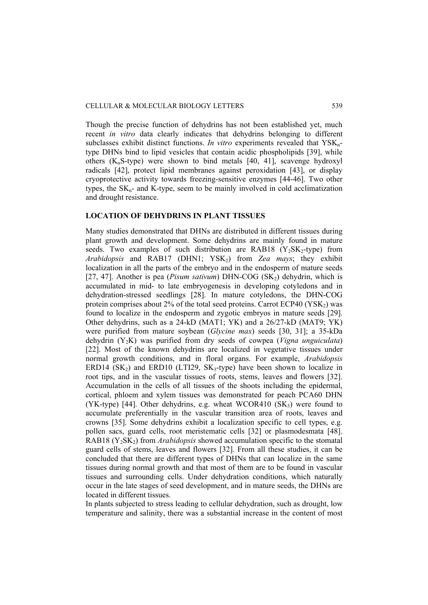Though the precise function of dehydrins has not been established yet, much recent *in vitro* data clearly indicates that dehydrins belonging to different subclasses exhibit distinct functions. *In vitro* experiments revealed that YSKntype DHNs bind to lipid vesicles that contain acidic phospholipids [39], while others  $(K_nS$ -type) were shown to bind metals [40, 41], scavenge hydroxyl radicals [42], protect lipid membranes against peroxidation [43], or display cryoprotective activity towards freezing-sensitive enzymes [44-46]. Two other types, the  $SK_n$ - and  $K$ -type, seem to be mainly involved in cold acclimatization and drought resistance.

# **LOCATION OF DEHYDRINS IN PLANT TISSUES**

Many studies demonstrated that DHNs are distributed in different tissues during plant growth and development. Some dehydrins are mainly found in mature seeds. Two examples of such distribution are RAB18  $(Y_2SK_2$ -type) from *Arabidopsis* and RAB17 (DHN1; YSK2) from *Zea mays*; they exhibit localization in all the parts of the embryo and in the endosperm of mature seeds [27, 47]. Another is pea (*Pisum sativum*) DHN-COG (SK<sub>2</sub>) dehydrin, which is accumulated in mid- to late embryogenesis in developing cotyledons and in dehydration-stressed seedlings [28]. In mature cotyledons, the DHN-COG protein comprises about  $2\%$  of the total seed proteins. Carrot ECP40 (YSK<sub>2</sub>) was found to localize in the endosperm and zygotic embryos in mature seeds [29]. Other dehydrins, such as a 24-kD (MAT1; YK) and a 26/27-kD (MAT9; YK) were purified from mature soybean (*Glycine max*) seeds [30, 31]; a 35-kDa dehydrin (Y2K) was purified from dry seeds of cowpea (*Vigna unguiculata*) [22]. Most of the known dehydrins are localized in vegetative tissues under normal growth conditions, and in floral organs. For example, *Arabidopsis* ERD14  $(SK_2)$  and ERD10 (LTI29,  $SK_3$ -type) have been shown to localize in root tips, and in the vascular tissues of roots, stems, leaves and flowers [32]. Accumulation in the cells of all tissues of the shoots including the epidermal, cortical, phloem and xylem tissues was demonstrated for peach PCA60 DHN (YK-type) [44]. Other dehydrins, e.g. wheat WCOR410  $(SK_3)$  were found to accumulate preferentially in the vascular transition area of roots, leaves and crowns [35]. Some dehydrins exhibit a localization specific to cell types, e.g. pollen sacs, guard cells, root meristematic cells [32] or plasmodesmata [48]. RAB18 (Y2SK2) from *Arabidopsis* showed accumulation specific to the stomatal guard cells of stems, leaves and flowers [32]. From all these studies, it can be concluded that there are different types of DHNs that can localize in the same tissues during normal growth and that most of them are to be found in vascular tissues and surrounding cells. Under dehydration conditions, which naturally occur in the late stages of seed development, and in mature seeds, the DHNs are located in different tissues.

In plants subjected to stress leading to cellular dehydration, such as drought, low temperature and salinity, there was a substantial increase in the content of most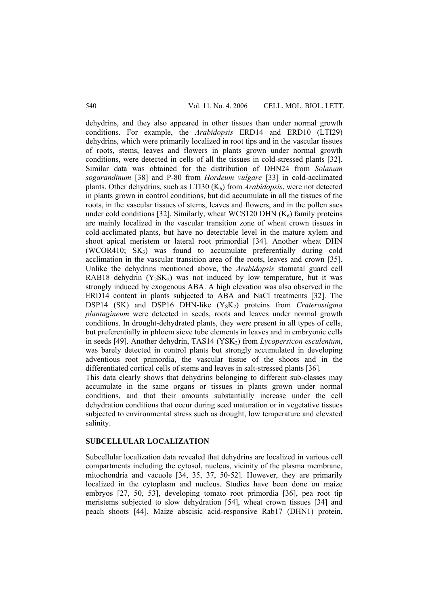dehydrins, and they also appeared in other tissues than under normal growth conditions. For example, the *Arabidopsis* ERD14 and ERD10 (LTI29) dehydrins, which were primarily localized in root tips and in the vascular tissues of roots, stems, leaves and flowers in plants grown under normal growth conditions, were detected in cells of all the tissues in cold-stressed plants [32]. Similar data was obtained for the distribution of DHN24 from *Solanum sogarandinum* [38] and P-80 from *Hordeum vulgare* [33] in cold-acclimated plants. Other dehydrins, such as LTI30 (K<sub>6</sub>) from *Arabidopsis*, were not detected in plants grown in control conditions, but did accumulate in all the tissues of the roots, in the vascular tissues of stems, leaves and flowers, and in the pollen sacs under cold conditions [32]. Similarly, wheat WCS120 DHN  $(K<sub>6</sub>)$  family proteins are mainly localized in the vascular transition zone of wheat crown tissues in cold-acclimated plants, but have no detectable level in the mature xylem and shoot apical meristem or lateral root primordial [34]. Another wheat DHN  $(WCOR410; SK<sub>3</sub>)$  was found to accumulate preferentially during cold acclimation in the vascular transition area of the roots, leaves and crown [35]. Unlike the dehydrins mentioned above, the *Arabidopsis* stomatal guard cell RAB18 dehydrin  $(Y_2SK_2)$  was not induced by low temperature, but it was strongly induced by exogenous ABA. A high elevation was also observed in the ERD14 content in plants subjected to ABA and NaCl treatments [32]. The DSP14 (SK) and DSP16 DHN-like (Y<sub>S</sub>K<sub>2</sub>) proteins from *Craterostigma plantagineum* were detected in seeds, roots and leaves under normal growth conditions. In drought-dehydrated plants, they were present in all types of cells, but preferentially in phloem sieve tube elements in leaves and in embryonic cells in seeds [49]. Another dehydrin, TAS14 (YSK<sub>2</sub>) from *Lycopersicon esculentum*, was barely detected in control plants but strongly accumulated in developing adventious root primordia, the vascular tissue of the shoots and in the differentiated cortical cells of stems and leaves in salt-stressed plants [36].

This data clearly shows that dehydrins belonging to different sub-classes may accumulate in the same organs or tissues in plants grown under normal conditions, and that their amounts substantially increase under the cell dehydration conditions that occur during seed maturation or in vegetative tissues subjected to environmental stress such as drought, low temperature and elevated salinity.

### **SUBCELLULAR LOCALIZATION**

Subcellular localization data revealed that dehydrins are localized in various cell compartments including the cytosol, nucleus, vicinity of the plasma membrane, mitochondria and vacuole [34, 35, 37, 50-52]. However, they are primarily localized in the cytoplasm and nucleus. Studies have been done on maize embryos [27, 50, 53], developing tomato root primordia [36], pea root tip meristems subjected to slow dehydration [54], wheat crown tissues [34] and peach shoots [44]. Maize abscisic acid-responsive Rab17 (DHN1) protein,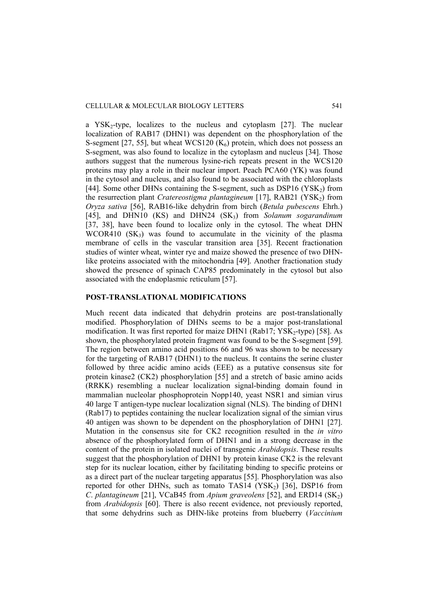a YSK<sub>2</sub>-type, localizes to the nucleus and cytoplasm [27]. The nuclear localization of RAB17 (DHN1) was dependent on the phosphorylation of the S-segment [27, 55], but wheat WCS120  $(K<sub>6</sub>)$  protein, which does not possess an S-segment, was also found to localize in the cytoplasm and nucleus [34]. Those authors suggest that the numerous lysine-rich repeats present in the WCS120 proteins may play a role in their nuclear import. Peach PCA60 (YK) was found in the cytosol and nucleus, and also found to be associated with the chloroplasts [44]. Some other DHNs containing the S-segment, such as  $DSP16 (YSK<sub>2</sub>)$  from the resurrection plant *Cratereostigma plantagineum* [17], RAB21 (YSK2) from *Oryza sativa* [56], RAB16-like dehydrin from birch (*Betula pubescens* Ehrh.) [45], and DHN10 (KS) and DHN24 (SK3) from *Solanum sogarandinum* [37, 38], have been found to localize only in the cytosol. The wheat DHN WCOR410  $(SK_3)$  was found to accumulate in the vicinity of the plasma membrane of cells in the vascular transition area [35]. Recent fractionation studies of winter wheat, winter rye and maize showed the presence of two DHNlike proteins associated with the mitochondria [49]. Another fractionation study showed the presence of spinach CAP85 predominately in the cytosol but also associated with the endoplasmic reticulum [57].

## **POST-TRANSLATIONAL MODIFICATIONS**

Much recent data indicated that dehydrin proteins are post-translationally modified. Phosphorylation of DHNs seems to be a major post-translational modification. It was first reported for maize DHN1 (Rab17; YSK<sub>2</sub>-type) [58]. As shown, the phosphorylated protein fragment was found to be the S-segment [59]. The region between amino acid positions 66 and 96 was shown to be necessary for the targeting of RAB17 (DHN1) to the nucleus. It contains the serine cluster followed by three acidic amino acids (EEE) as a putative consensus site for protein kinase2 (CK2) phosphorylation [55] and a stretch of basic amino acids (RRKK) resembling a nuclear localization signal-binding domain found in mammalian nucleolar phosphoprotein Nopp140, yeast NSR1 and simian virus 40 large T antigen-type nuclear localization signal (NLS). The binding of DHN1 (Rab17) to peptides containing the nuclear localization signal of the simian virus 40 antigen was shown to be dependent on the phosphorylation of DHN1 [27]. Mutation in the consensus site for CK2 recognition resulted in the *in vitro* absence of the phosphorylated form of DHN1 and in a strong decrease in the content of the protein in isolated nuclei of transgenic *Arabidopsis*. These results suggest that the phosphorylation of DHN1 by protein kinase CK2 is the relevant step for its nuclear location, either by facilitating binding to specific proteins or as a direct part of the nuclear targeting apparatus [55]. Phosphorylation was also reported for other DHNs, such as tomato  $TAS14 (YSK<sub>2</sub>)$  [36], DSP16 from *C. plantagineum* [21], VCaB45 from *Apium graveolens* [52], and ERD14  $(SK_2)$ from *Arabidopsis* [60]. There is also recent evidence, not previously reported, that some dehydrins such as DHN-like proteins from blueberry (*Vaccinium*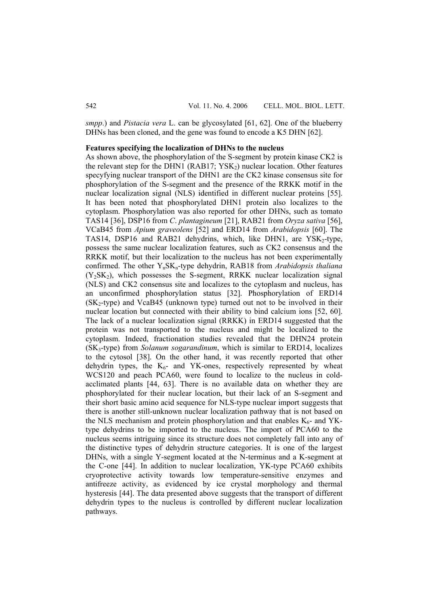*smpp*.) and *Pistacia vera* L. can be glycosylated [61, 62]. One of the blueberry DHNs has been cloned, and the gene was found to encode a K5 DHN [62].

### **Features specifying the localization of DHNs to the nucleus**

As shown above, the phosphorylation of the S-segment by protein kinase CK2 is the relevant step for the DHN1 (RAB17;  $YSK<sub>2</sub>$ ) nuclear location. Other features specyfying nuclear transport of the DHN1 are the CK2 kinase consensus site for phosphorylation of the S-segment and the presence of the RRKK motif in the nuclear localization signal (NLS) identified in different nuclear proteins [55]. It has been noted that phosphorylated DHN1 protein also localizes to the cytoplasm. Phosphorylation was also reported for other DHNs, such as tomato TAS14 [36], DSP16 from *C*. *plantagineum* [21], RAB21 from *Oryza sativa* [56], VCaB45 from *Apium graveolens* [52] and ERD14 from *Arabidopsis* [60]. The TAS14, DSP16 and RAB21 dehydrins, which, like DHN1, are  $YSK<sub>2</sub>$ -type, possess the same nuclear localization features, such as CK2 consensus and the RRKK motif, but their localization to the nucleus has not been experimentally confirmed. The other YnSKn-type dehydrin, RAB18 from *Arabidopsis thaliana*  $(Y_2SK_2)$ , which possesses the S-segment, RRKK nuclear localization signal (NLS) and CK2 consensus site and localizes to the cytoplasm and nucleus, has an unconfirmed phosphorylation status [32]. Phosphorylation of ERD14  $(SK_2$ -type) and VcaB45 (unknown type) turned out not to be involved in their nuclear location but connected with their ability to bind calcium ions [52, 60]. The lack of a nuclear localization signal (RRKK) in ERD14 suggested that the protein was not transported to the nucleus and might be localized to the cytoplasm. Indeed, fractionation studies revealed that the DHN24 protein (SK3-type) from *Solanum sogarandinum*, which is similar to ERD14, localizes to the cytosol [38]. On the other hand, it was recently reported that other dehydrin types, the  $K_6$ - and YK-ones, respectively represented by wheat WCS120 and peach PCA60, were found to localize to the nucleus in coldacclimated plants [44, 63]. There is no available data on whether they are phosphorylated for their nuclear location, but their lack of an S-segment and their short basic amino acid sequence for NLS-type nuclear import suggests that there is another still-unknown nuclear localization pathway that is not based on the NLS mechanism and protein phosphorylation and that enables  $K_{6}$ - and YKtype dehydrins to be imported to the nucleus. The import of PCA60 to the nucleus seems intriguing since its structure does not completely fall into any of the distinctive types of dehydrin structure categories. It is one of the largest DHNs, with a single Y-segment located at the N-terminus and a K-segment at the C-one [44]. In addition to nuclear localization, YK-type PCA60 exhibits cryoprotective activity towards low temperature-sensitive enzymes and antifreeze activity, as evidenced by ice crystal morphology and thermal hysteresis [44]. The data presented above suggests that the transport of different dehydrin types to the nucleus is controlled by different nuclear localization pathways.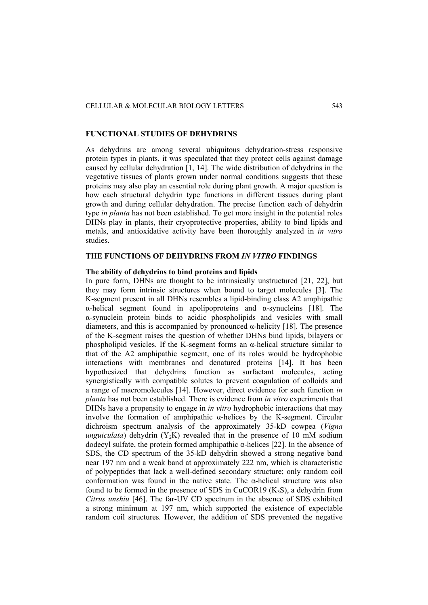### **FUNCTIONAL STUDIES OF DEHYDRINS**

As dehydrins are among several ubiquitous dehydration-stress responsive protein types in plants, it was speculated that they protect cells against damage caused by cellular dehydration [1, 14]. The wide distribution of dehydrins in the vegetative tissues of plants grown under normal conditions suggests that these proteins may also play an essential role during plant growth. A major question is how each structural dehydrin type functions in different tissues during plant growth and during cellular dehydration. The precise function each of dehydrin type *in planta* has not been established. To get more insight in the potential roles DHNs play in plants, their cryoprotective properties, ability to bind lipids and metals, and antioxidative activity have been thoroughly analyzed in *in vitro* studies.

# **THE FUNCTIONS OF DEHYDRINS FROM** *IN VITRO* **FINDINGS**

#### **The ability of dehydrins to bind proteins and lipids**

In pure form, DHNs are thought to be intrinsically unstructured [21, 22], but they may form intrinsic structures when bound to target molecules [3]. The K-segment present in all DHNs resembles a lipid-binding class A2 amphipathic α-helical segment found in apolipoproteins and α-synucleins [18]. The α-synuclein protein binds to acidic phospholipids and vesicles with small diameters, and this is accompanied by pronounced α-helicity [18]. The presence of the K-segment raises the question of whether DHNs bind lipids, bilayers or phospholipid vesicles. If the K-segment forms an  $\alpha$ -helical structure similar to that of the A2 amphipathic segment, one of its roles would be hydrophobic interactions with membranes and denatured proteins [14]. It has been hypothesized that dehydrins function as surfactant molecules, acting synergistically with compatible solutes to prevent coagulation of colloids and a range of macromolecules [14]. However, direct evidence for such function *in planta* has not been established. There is evidence from *in vitro* experiments that DHNs have a propensity to engage in *in vitro* hydrophobic interactions that may involve the formation of amphipathic  $\alpha$ -helices by the K-segment. Circular dichroism spectrum analysis of the approximately 35-kD cowpea (*Vigna unguiculata*) dehydrin  $(Y_2K)$  revealed that in the presence of 10 mM sodium dodecyl sulfate, the protein formed amphipathic α-helices [22]. In the absence of SDS, the CD spectrum of the 35-kD dehydrin showed a strong negative band near 197 nm and a weak band at approximately 222 nm, which is characteristic of polypeptides that lack a well-defined secondary structure; only random coil conformation was found in the native state. The α-helical structure was also found to be formed in the presence of SDS in CuCOR19  $(K_3S)$ , a dehydrin from *Citrus unshiu* [46]. The far-UV CD spectrum in the absence of SDS exhibited a strong minimum at 197 nm, which supported the existence of expectable random coil structures. However, the addition of SDS prevented the negative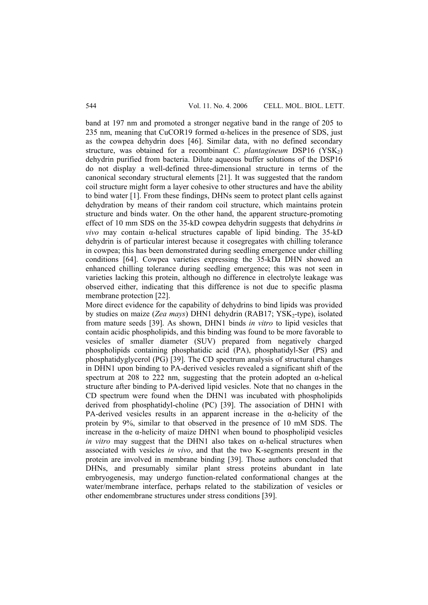band at 197 nm and promoted a stronger negative band in the range of 205 to 235 nm, meaning that CuCOR19 formed  $\alpha$ -helices in the presence of SDS, just as the cowpea dehydrin does [46]. Similar data, with no defined secondary structure, was obtained for a recombinant *C. plantagineum* DSP16 (YSK<sub>2</sub>) dehydrin purified from bacteria. Dilute aqueous buffer solutions of the DSP16 do not display a well-defined three-dimensional structure in terms of the canonical secondary structural elements [21]. It was suggested that the random coil structure might form a layer cohesive to other structures and have the ability to bind water [1]. From these findings, DHNs seem to protect plant cells against dehydration by means of their random coil structure, which maintains protein structure and binds water. On the other hand, the apparent structure-promoting effect of 10 mm SDS on the 35-kD cowpea dehydrin suggests that dehydrins *in vivo* may contain α-helical structures capable of lipid binding. The 35-kD dehydrin is of particular interest because it cosegregates with chilling tolerance in cowpea; this has been demonstrated during seedling emergence under chilling conditions [64]. Cowpea varieties expressing the 35-kDa DHN showed an enhanced chilling tolerance during seedling emergence; this was not seen in varieties lacking this protein, although no difference in electrolyte leakage was observed either, indicating that this difference is not due to specific plasma membrane protection [22].

More direct evidence for the capability of dehydrins to bind lipids was provided by studies on maize (*Zea mays*) DHN1 dehydrin (RAB17; YSK<sub>2</sub>-type), isolated from mature seeds [39]. As shown, DHN1 binds *in vitro* to lipid vesicles that contain acidic phospholipids, and this binding was found to be more favorable to vesicles of smaller diameter (SUV) prepared from negatively charged phospholipids containing phosphatidic acid (PA), phosphatidyl-Ser (PS) and phosphatidyglycerol (PG) [39]. The CD spectrum analysis of structural changes in DHN1 upon binding to PA-derived vesicles revealed a significant shift of the spectrum at 208 to 222 nm, suggesting that the protein adopted an  $\alpha$ -helical structure after binding to PA-derived lipid vesicles. Note that no changes in the CD spectrum were found when the DHN1 was incubated with phospholipids derived from phosphatidyl-choline (PC) [39]. The association of DHN1 with PA-derived vesicles results in an apparent increase in the  $\alpha$ -helicity of the protein by 9%, similar to that observed in the presence of 10 mM SDS. The increase in the α-helicity of maize DHN1 when bound to phospholipid vesicles *in vitro* may suggest that the DHN1 also takes on α-helical structures when associated with vesicles *in vivo*, and that the two K-segments present in the protein are involved in membrane binding [39]. Those authors concluded that DHNs, and presumably similar plant stress proteins abundant in late embryogenesis, may undergo function-related conformational changes at the water/membrane interface, perhaps related to the stabilization of vesicles or other endomembrane structures under stress conditions [39].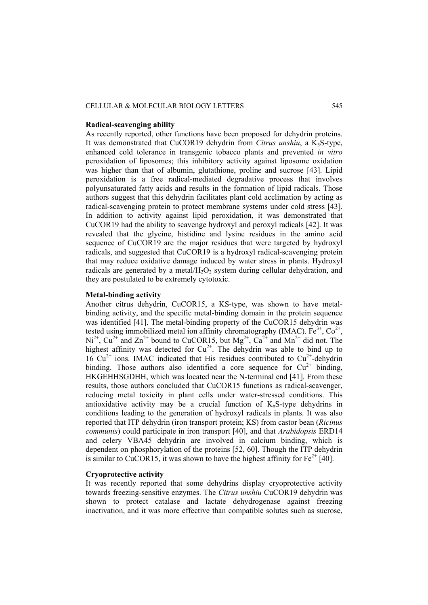#### CELLULAR & MOLECULAR BIOLOGY LETTERS 545

#### **Radical-scavenging ability**

As recently reported, other functions have been proposed for dehydrin proteins. It was demonstrated that CuCOR19 dehydrin from *Citrus unshiu*, a K<sub>3</sub>S-type, enhanced cold tolerance in transgenic tobacco plants and prevented *in vitro* peroxidation of liposomes; this inhibitory activity against liposome oxidation was higher than that of albumin, glutathione, proline and sucrose [43]. Lipid peroxidation is a free radical-mediated degradative process that involves polyunsaturated fatty acids and results in the formation of lipid radicals. Those authors suggest that this dehydrin facilitates plant cold acclimation by acting as radical-scavenging protein to protect membrane systems under cold stress [43]. In addition to activity against lipid peroxidation, it was demonstrated that CuCOR19 had the ability to scavenge hydroxyl and peroxyl radicals [42]. It was revealed that the glycine, histidine and lysine residues in the amino acid sequence of CuCOR19 are the major residues that were targeted by hydroxyl radicals, and suggested that CuCOR19 is a hydroxyl radical-scavenging protein that may reduce oxidative damage induced by water stress in plants. Hydroxyl radicals are generated by a metal/ $H_2O_2$  system during cellular dehydration, and they are postulated to be extremely cytotoxic.

## **Metal-binding activity**

Another citrus dehydrin, CuCOR15, a KS-type, was shown to have metalbinding activity, and the specific metal-binding domain in the protein sequence was identified [41]. The metal-binding property of the CuCOR15 dehydrin was tested using immobilized metal ion affinity chromatography (IMAC).  $Fe^{3+}$ ,  $Co^{2+}$ ,  $Ni^{2+}$ ,  $Cu^{2+}$  and  $Zn^{2+}$  bound to CuCOR15, but  $Mg^{2+}$ ,  $Ca^{2+}$  and  $Mn^{2+}$  did not. The highest affinity was detected for  $Cu^{2+}$ . The dehydrin was able to bind up to  $16 \text{ Cu}^{2+}$  ions. IMAC indicated that His residues contributed to  $\text{Cu}^{2+}$ -dehydrin binding. Those authors also identified a core sequence for  $Cu^{2+}$  binding, HKGEHHSGDHH, which was located near the N-terminal end [41]. From these results, those authors concluded that CuCOR15 functions as radical-scavenger, reducing metal toxicity in plant cells under water-stressed conditions. This antioxidative activity may be a crucial function of  $K_nS$ -type dehydrins in conditions leading to the generation of hydroxyl radicals in plants. It was also reported that ITP dehydrin (iron transport protein; KS) from castor bean (*Ricinus communis*) could participate in iron transport [40], and that *Arabidopsis* ERD14 and celery VBA45 dehydrin are involved in calcium binding, which is dependent on phosphorylation of the proteins [52, 60]. Though the ITP dehydrin is similar to CuCOR15, it was shown to have the highest affinity for  $Fe^{2+}$  [40].

# **Cryoprotective activity**

It was recently reported that some dehydrins display cryoprotective activity towards freezing-sensitive enzymes. The *Citrus unshiu* CuCOR19 dehydrin was shown to protect catalase and lactate dehydrogenase against freezing inactivation, and it was more effective than compatible solutes such as sucrose,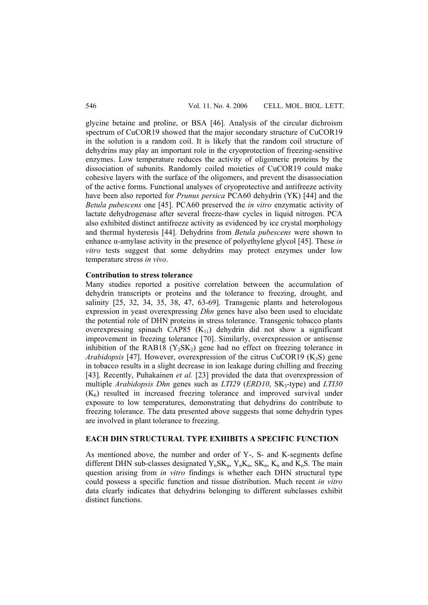glycine betaine and proline, or BSA [46]. Analysis of the circular dichroism spectrum of CuCOR19 showed that the major secondary structure of CuCOR19 in the solution is a random coil. It is likely that the random coil structure of dehydrins may play an important role in the cryoprotection of freezing-sensitive enzymes. Low temperature reduces the activity of oligomeric proteins by the dissociation of subunits. Randomly coiled moieties of CuCOR19 could make cohesive layers with the surface of the oligomers, and prevent the disassociation of the active forms. Functional analyses of cryoprotective and antifreeze activity have been also reported for *Prunus persica* PCA60 dehydrin (YK) [44] and the *Betula pubescens* one [45]. PCA60 preserved the *in vitro* enzymatic activity of lactate dehydrogenase after several freeze-thaw cycles in liquid nitrogen. PCA also exhibited distinct antifreeze activity as evidenced by ice crystal morphology and thermal hysteresis [44]. Dehydrins from *Betula pubescens* were shown to enhance α-amylase activity in the presence of polyethylene glycol [45]. These *in vitro* tests suggest that some dehydrins may protect enzymes under low temperature stress *in vivo*.

### **Contribution to stress tolerance**

Many studies reported a positive correlation between the accumulation of dehydrin transcripts or proteins and the tolerance to freezing, drought, and salinity [25, 32, 34, 35, 38, 47, 63-69]. Transgenic plants and heterologous expression in yeast overexpressing *Dhn* genes have also been used to elucidate the potential role of DHN proteins in stress tolerance. Transgenic tobacco plants overexpressing spinach CAP85  $(K_{11})$  dehydrin did not show a significant improvement in freezing tolerance [70]. Similarly, overexpression or antisense inhibition of the RAB18  $(Y_2SK_2)$  gene had no effect on freezing tolerance in *Arabidopsis* [47]. However, overexpression of the citrus CuCOR19  $(K_3S)$  gene in tobacco results in a slight decrease in ion leakage during chilling and freezing [43]. Recently, Puhakainen *et al.* [23] provided the data that overexpression of multiple *Arabidopsis Dhn* genes such as *LTI29* (*ERD10*, SK<sub>3</sub>-type) and *LTI30*  $(K<sub>6</sub>)$  resulted in increased freezing tolerance and improved survival under exposure to low temperatures, demonstrating that dehydrins do contribute to freezing tolerance. The data presented above suggests that some dehydrin types are involved in plant tolerance to freezing.

## **EACH DHN STRUCTURAL TYPE EXHIBITS A SPECIFIC FUNCTION**

As mentioned above, the number and order of Y-, S- and K-segments define different DHN sub-classes designated  $Y_n SK_n$ ,  $Y_n K_n$ ,  $SK_n$ ,  $K_n$  and  $K_n S$ . The main question arising from *in vitro* findings is whether each DHN structural type could possess a specific function and tissue distribution. Much recent *in vitro* data clearly indicates that dehydrins belonging to different subclasses exhibit distinct functions.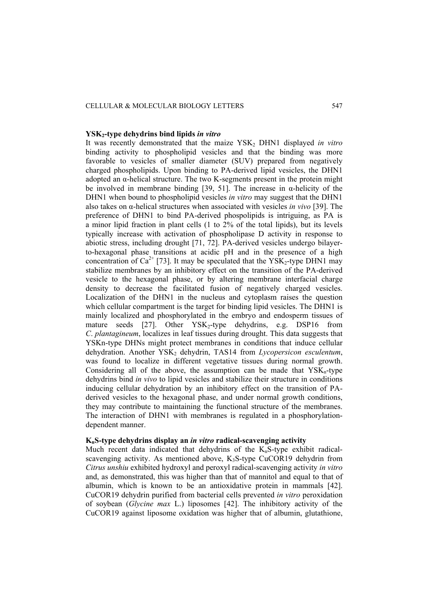#### CELLULAR & MOLECULAR BIOLOGY LETTERS 547

#### **YSK2-type dehydrins bind lipids** *in vitro*

It was recently demonstrated that the maize YSK<sub>2</sub> DHN1 displayed *in vitro* binding activity to phospholipid vesicles and that the binding was more favorable to vesicles of smaller diameter (SUV) prepared from negatively charged phospholipids. Upon binding to PA-derived lipid vesicles, the DHN1 adopted an α-helical structure. The two K-segments present in the protein might be involved in membrane binding [39, 51]. The increase in  $\alpha$ -helicity of the DHN1 when bound to phospholipid vesicles *in vitro* may suggest that the DHN1 also takes on α-helical structures when associated with vesicles *in vivo* [39]. The preference of DHN1 to bind PA-derived phospolipids is intriguing, as PA is a minor lipid fraction in plant cells  $(1 \text{ to } 2\% \text{ of the total lipids})$ , but its levels typically increase with activation of phospholipase D activity in response to abiotic stress, including drought [71, 72]. PA-derived vesicles undergo bilayerto-hexagonal phase transitions at acidic pH and in the presence of a high concentration of  $Ca^{2+}$  [73]. It may be speculated that the YSK<sub>2</sub>-type DHN1 may stabilize membranes by an inhibitory effect on the transition of the PA-derived vesicle to the hexagonal phase, or by altering membrane interfacial charge density to decrease the facilitated fusion of negatively charged vesicles. Localization of the DHN1 in the nucleus and cytoplasm raises the question which cellular compartment is the target for binding lipid vesicles. The DHN1 is mainly localized and phosphorylated in the embryo and endosperm tissues of mature seeds  $[27]$ . Other YSK<sub>2</sub>-type dehydrins, e.g. DSP16 from *C*. *plantagineum*, localizes in leaf tissues during drought. This data suggests that YSKn-type DHNs might protect membranes in conditions that induce cellular dehydration. Another YSK<sub>2</sub> dehydrin, TAS14 from *Lycopersicon esculentum*, was found to localize in different vegetative tissues during normal growth. Considering all of the above, the assumption can be made that  $YSK_n$ -type dehydrins bind *in vivo* to lipid vesicles and stabilize their structure in conditions inducing cellular dehydration by an inhibitory effect on the transition of PAderived vesicles to the hexagonal phase, and under normal growth conditions, they may contribute to maintaining the functional structure of the membranes. The interaction of DHN1 with membranes is regulated in a phosphorylationdependent manner.

#### **KnS-type dehydrins display an** *in vitro* **radical-scavenging activity**

Much recent data indicated that dehydrins of the  $K_nS$ -type exhibit radicalscavenging activity. As mentioned above,  $K<sub>3</sub>S$ -type CuCOR19 dehydrin from *Citrus unshiu* exhibited hydroxyl and peroxyl radical-scavenging activity *in vitro* and, as demonstrated, this was higher than that of mannitol and equal to that of albumin, which is known to be an antioxidative protein in mammals [42]. CuCOR19 dehydrin purified from bacterial cells prevented *in vitro* peroxidation of soybean (*Glycine max* L.) liposomes [42]. The inhibitory activity of the CuCOR19 against liposome oxidation was higher that of albumin, glutathione,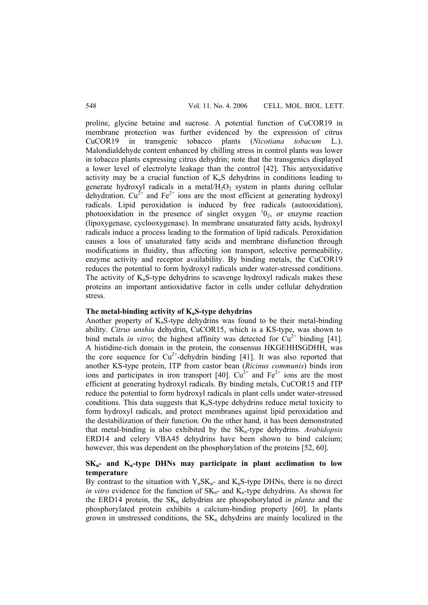proline, glycine betaine and sucrose. A potential function of CuCOR19 in membrane protection was further evidenced by the expression of citrus CuCOR19 in transgenic tobacco plants (*Nicotiana tobacum* L.). Malondialdehyde content enhanced by chilling stress in control plants was lower in tobacco plants expressing citrus dehydrin; note that the transgenics displayed a lower level of electrolyte leakage than the control [42]. This antyoxidative activity may be a crucial function of  $K_nS$  dehydrins in conditions leading to generate hydroxyl radicals in a metal/ $H_2O_2$  system in plants during cellular dehydration.  $Cu^{2+}$  and  $Fe^{2+}$  ions are the most efficient at generating hydroxyl radicals. Lipid peroxidation is induced by free radicals (autooxidation), photooxidation in the presence of singlet oxygen  $10<sub>2</sub>$ , or enzyme reaction (lipoxygenase, cyclooxygenase). In membrane unsaturated fatty acids, hydroxyl radicals induce a process leading to the formation of lipid radicals. Peroxidation causes a loss of unsaturated fatty acids and membrane disfunction through modifications in fluidity, thus affecting ion transport, selective permeability, enzyme activity and receptor availability. By binding metals, the CuCOR19 reduces the potential to form hydroxyl radicals under water-stressed conditions. The activity of  $K_nS$ -type dehydrins to scavenge hydroxyl radicals makes these proteins an important antioxidative factor in cells under cellular dehydration stress.

# The metal-binding activity of K<sub>n</sub>S-type dehydrins

Another property of  $K_nS$ -type dehydrins was found to be their metal-binding ability. *Citrus unshiu* dehydrin, CuCOR15, which is a KS-type, was shown to bind metals *in vitro*; the highest affinity was detected for  $Cu^{2+}$  binding [41]. A histidine-rich domain in the protein, the consensus HKGEHHSGDHH, was the core sequence for  $Cu^{2+}$ -dehydrin binding [41]. It was also reported that another KS-type protein, ITP from castor bean (*Ricinus communis*) binds iron ions and participates in iron transport [40].  $Cu^{2+}$  and Fe<sup>2+</sup> ions are the most efficient at generating hydroxyl radicals. By binding metals, CuCOR15 and ITP reduce the potential to form hydroxyl radicals in plant cells under water-stressed conditions. This data suggests that  $K_nS$ -type dehydrins reduce metal toxicity to form hydroxyl radicals, and protect membranes against lipid peroxidation and the destabilization of their function. On the other hand, it has been demonstrated that metal-binding is also exhibited by the SKn-type dehydrins. *Arabidopsis* ERD14 and celery VBA45 dehydrins have been shown to bind calcium; however, this was dependent on the phosphorylation of the proteins [52, 60].

# $SK_{n}$ - and  $K_{n}$ -type DHNs may participate in plant acclimation to low **temperature**

By contrast to the situation with  $Y_n SK_n$ - and  $K_nS$ -type DHNs, there is no direct *in vitro* evidence for the function of  $SK_{n}$ - and  $K_{n}$ -type dehydrins. As shown for the ERD14 protein, the  $SK<sub>n</sub>$  dehydrins are phospohorylated *in planta* and the phosphorylated protein exhibits a calcium-binding property [60]. In plants grown in unstressed conditions, the  $SK_n$  dehydrins are mainly localized in the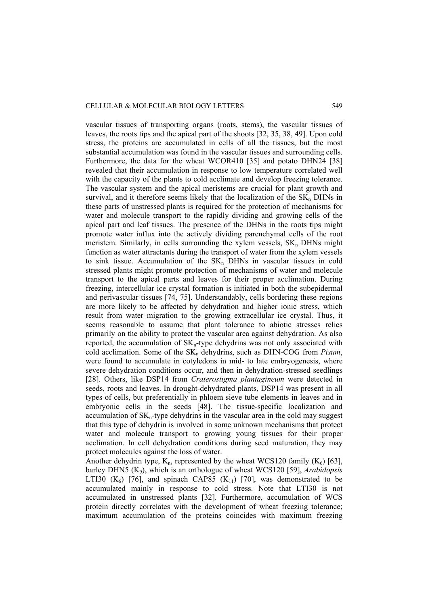#### CELLULAR & MOLECULAR BIOLOGY LETTERS 549

vascular tissues of transporting organs (roots, stems), the vascular tissues of leaves, the roots tips and the apical part of the shoots [32, 35, 38, 49]. Upon cold stress, the proteins are accumulated in cells of all the tissues, but the most substantial accumulation was found in the vascular tissues and surrounding cells. Furthermore, the data for the wheat WCOR410 [35] and potato DHN24 [38] revealed that their accumulation in response to low temperature correlated well with the capacity of the plants to cold acclimate and develop freezing tolerance. The vascular system and the apical meristems are crucial for plant growth and survival, and it therefore seems likely that the localization of the  $SK_n$  DHNs in these parts of unstressed plants is required for the protection of mechanisms for water and molecule transport to the rapidly dividing and growing cells of the apical part and leaf tissues. The presence of the DHNs in the roots tips might promote water influx into the actively dividing parenchymal cells of the root meristem. Similarly, in cells surrounding the xylem vessels,  $SK_n$  DHNs might function as water attractants during the transport of water from the xylem vessels to sink tissue. Accumulation of the  $SK_n$  DHNs in vascular tissues in cold stressed plants might promote protection of mechanisms of water and molecule transport to the apical parts and leaves for their proper acclimation. During freezing, intercellular ice crystal formation is initiated in both the subepidermal and perivascular tissues [74, 75]. Understandably, cells bordering these regions are more likely to be affected by dehydration and higher ionic stress, which result from water migration to the growing extracellular ice crystal. Thus, it seems reasonable to assume that plant tolerance to abiotic stresses relies primarily on the ability to protect the vascular area against dehydration. As also reported, the accumulation of  $SK_n$ -type dehydrins was not only associated with cold acclimation. Some of the SK<sub>n</sub> dehydrins, such as DHN-COG from *Pisum*, were found to accumulate in cotyledons in mid- to late embryogenesis, where severe dehydration conditions occur, and then in dehydration-stressed seedlings [28]. Others, like DSP14 from *Craterostigma plantagineum* were detected in seeds, roots and leaves. In drought-dehydrated plants, DSP14 was present in all types of cells, but preferentially in phloem sieve tube elements in leaves and in embryonic cells in the seeds [48]. The tissue-specific localization and accumulation of  $SK<sub>n</sub>$ -type dehydrins in the vascular area in the cold may suggest that this type of dehydrin is involved in some unknown mechanisms that protect water and molecule transport to growing young tissues for their proper acclimation. In cell dehydration conditions during seed maturation, they may protect molecules against the loss of water.

Another dehydrin type,  $K_n$ , represented by the wheat WCS120 family  $(K_6)$  [63], barley DHN5 (K9), which is an orthologue of wheat WCS120 [59], *Arabidopsis* LTI30  $(K<sub>6</sub>)$  [76], and spinach CAP85  $(K<sub>11</sub>)$  [70], was demonstrated to be accumulated mainly in response to cold stress. Note that LTI30 is not accumulated in unstressed plants [32]. Furthermore, accumulation of WCS protein directly correlates with the development of wheat freezing tolerance; maximum accumulation of the proteins coincides with maximum freezing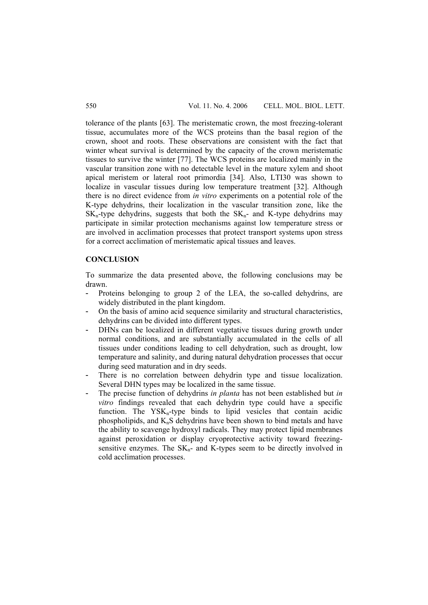tolerance of the plants [63]. The meristematic crown, the most freezing-tolerant tissue, accumulates more of the WCS proteins than the basal region of the crown, shoot and roots. These observations are consistent with the fact that winter wheat survival is determined by the capacity of the crown meristematic tissues to survive the winter [77]. The WCS proteins are localized mainly in the vascular transition zone with no detectable level in the mature xylem and shoot apical meristem or lateral root primordia [34]. Also, LTI30 was shown to localize in vascular tissues during low temperature treatment [32]. Although there is no direct evidence from *in vitro* experiments on a potential role of the K-type dehydrins, their localization in the vascular transition zone, like the  $SK_n$ -type dehydrins, suggests that both the  $SK_n$ - and K-type dehydrins may participate in similar protection mechanisms against low temperature stress or are involved in acclimation processes that protect transport systems upon stress for a correct acclimation of meristematic apical tissues and leaves.

## **CONCLUSION**

To summarize the data presented above, the following conclusions may be drawn.

- Proteins belonging to group 2 of the LEA, the so-called dehydrins, are widely distributed in the plant kingdom.
- On the basis of amino acid sequence similarity and structural characteristics, dehydrins can be divided into different types.
- DHNs can be localized in different vegetative tissues during growth under normal conditions, and are substantially accumulated in the cells of all tissues under conditions leading to cell dehydration, such as drought, low temperature and salinity, and during natural dehydration processes that occur during seed maturation and in dry seeds.
- There is no correlation between dehydrin type and tissue localization. Several DHN types may be localized in the same tissue.
- The precise function of dehydrins *in planta* has not been established but *in vitro* findings revealed that each dehydrin type could have a specific function. The  $YSK_n$ -type binds to lipid vesicles that contain acidic phospholipids, and  $K_nS$  dehydrins have been shown to bind metals and have the ability to scavenge hydroxyl radicals. They may protect lipid membranes against peroxidation or display cryoprotective activity toward freezingsensitive enzymes. The  $SK_n$ - and K-types seem to be directly involved in cold acclimation processes.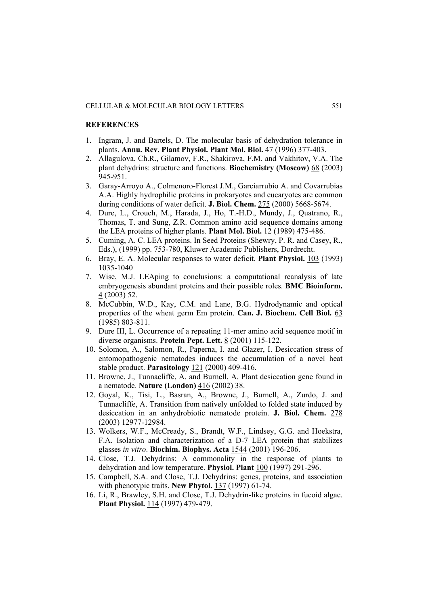#### **REFERENCES**

- 1. Ingram, J. and Bartels, D. The molecular basis of dehydration tolerance in plants. **Annu. Rev. Plant Physiol. Plant Mol. Biol.** 47 (1996) 377-403.
- 2. Allagulova, Ch.R., Gilamov, F.R., Shakirova, F.M. and Vakhitov, V.A. The plant dehydrins: structure and functions. **Biochemistry (Moscow)** 68 (2003) 945-951.
- 3. Garay-Arroyo A., Colmenoro-Florest J.M., Garciarrubio A. and Covarrubias A.A. Highly hydrophilic proteins in prokaryotes and eucaryotes are common during conditions of water deficit. **J. Biol. Chem.** 275 (2000) 5668-5674.
- 4. Dure, L., Crouch, M., Harada, J., Ho, T.-H.D., Mundy, J., Quatrano, R., Thomas, T. and Sung, Z.R. Common amino acid sequence domains among the LEA proteins of higher plants. **Plant Mol. Biol.** 12 (1989) 475-486.
- 5. Cuming, A. C. LEA proteins. In Seed Proteins (Shewry, P. R. and Casey, R., Eds.), (1999) pp. 753-780, Kluwer Academic Publishers, Dordrecht.
- 6. Bray, E. A. Molecular responses to water deficit. **Plant Physiol.** 103 (1993) 1035-1040
- 7. Wise, M.J. LEAping to conclusions: a computational reanalysis of late embryogenesis abundant proteins and their possible roles. **BMC Bioinform.** 4 (2003) 52.
- 8. McCubbin, W.D., Kay, C.M. and Lane, B.G. Hydrodynamic and optical properties of the wheat germ Em protein. **Can. J. Biochem. Cell Biol.** 63 (1985) 803-811.
- 9. Dure III, L. Occurrence of a repeating 11-mer amino acid sequence motif in diverse organisms. **Protein Pept. Lett.** 8 (2001) 115-122.
- 10. Solomon, A., Salomon, R., Paperna, I. and Glazer, I. Desiccation stress of entomopathogenic nematodes induces the accumulation of a novel heat stable product. **Parasitology** 121 (2000) 409-416.
- 11. Browne, J., Tunnacliffe, A. and Burnell, A. Plant desiccation gene found in a nematode. **Nature (London)** 416 (2002) 38.
- 12. Goyal, K., Tisi, L., Basran, A., Browne, J., Burnell, A., Zurdo, J. and Tunnacliffe, A. Transition from natively unfolded to folded state induced by desiccation in an anhydrobiotic nematode protein. **J. Biol. Chem.** 278 (2003) 12977-12984.
- 13. Wolkers, W.F., McCready, S., Brandt, W.F., Lindsey, G.G. and Hoekstra, F.A. Isolation and characterization of a D-7 LEA protein that stabilizes glasses *in vitro*. **Biochim. Biophys. Acta** 1544 (2001) 196-206.
- 14. Close, T.J. Dehydrins: A commonality in the response of plants to dehydration and low temperature. **Physiol. Plant** 100 (1997) 291-296.
- 15. Campbell, S.A. and Close, T.J. Dehydrins: genes, proteins, and association with phenotypic traits. **New Phytol.** 137 (1997) 61-74.
- 16. Li, R., Brawley, S.H. and Close, T.J. Dehydrin-like proteins in fucoid algae. **Plant Physiol.** 114 (1997) 479-479.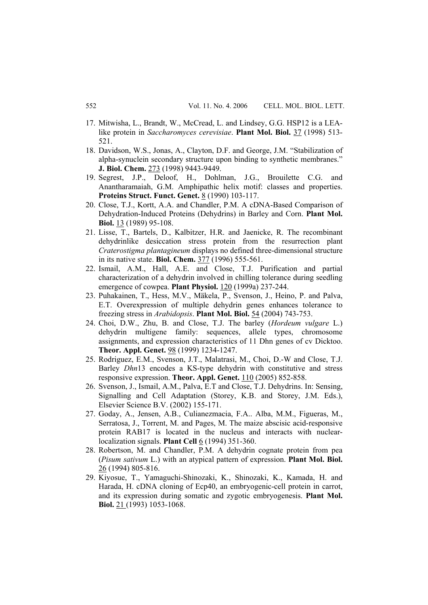- 17. Mitwisha, L., Brandt, W., McCread, L. and Lindsey, G.G. HSP12 is a LEAlike protein in *Saccharomyces cerevisiae*. **Plant Mol. Biol.** 37 (1998) 513- 521.
- 18. Davidson, W.S., Jonas, A., Clayton, D.F. and George, J.M. "Stabilization of alpha-synuclein secondary structure upon binding to synthetic membranes." **J. Biol. Chem.** 273 (1998) 9443-9449.
- 19. Segrest, J.P., Deloof, H., Dohlman, J.G., Brouilette C.G. and Anantharamaiah, G.M. Amphipathic helix motif: classes and properties. **Proteins Struct. Funct. Genet.** 8 (1990) 103-117.
- 20. Close, T.J., Kortt, A.A. and Chandler, P.M. A cDNA-Based Comparison of Dehydration-Induced Proteins (Dehydrins) in Barley and Corn. **Plant Mol. Biol.** 13 (1989) 95-108.
- 21. Lisse, T., Bartels, D., Kalbitzer, H.R. and Jaenicke, R. The recombinant dehydrinlike desiccation stress protein from the resurrection plant *Craterostigma plantagineum* displays no defined three-dimensional structure in its native state. **Biol. Chem.** 377 (1996) 555-561.
- 22. Ismail, A.M., Hall, A.E. and Close, T.J. Purification and partial characterization of a dehydrin involved in chilling tolerance during seedling emergence of cowpea. **Plant Physiol.** 120 (1999a) 237-244.
- 23. Puhakainen, T., Hess, M.V., Mäkela, P., Svenson, J., Heino, P. and Palva, E.T. Overexpression of multiple dehydrin genes enhances tolerance to freezing stress in *Arabidopsis*. **Plant Mol. Biol.** 54 (2004) 743-753.
- 24. Choi, D.W., Zhu, B. and Close, T.J. The barley (*Hordeum vulgare* L.) dehydrin multigene family: sequences, allele types, chromosome assignments, and expression characteristics of 11 Dhn genes of cv Dicktoo. **Theor. Appl. Genet.** 98 (1999) 1234-1247.
- 25. Rodriguez, E.M., Svenson, J.T., Malatrasi, M., Choi, D.-W and Close, T.J. Barley *Dhn*13 encodes a KS-type dehydrin with constitutive and stress responsive expression. **Theor. Appl. Genet.** 110 (2005) 852-858.
- 26. Svenson, J., Ismail, A.M., Palva, E.T and Close, T.J. Dehydrins. In: Sensing, Signalling and Cell Adaptation (Storey, K.B. and Storey, J.M. Eds.), Elsevier Science B.V. (2002) 155-171.
- 27. Goday, A., Jensen, A.B., Culianezmacia, F.A.. Alba, M.M., Figueras, M., Serratosa, J., Torrent, M. and Pages, M. The maize abscisic acid-responsive protein RAB17 is located in the nucleus and interacts with nuclearlocalization signals. **Plant Cell** 6 (1994) 351-360.
- 28. Robertson, M. and Chandler, P.M. A dehydrin cognate protein from pea (*Pisum sativum* L.) with an atypical pattern of expression. **Plant Mol. Biol.** 26 (1994) 805-816.
- 29. Kiyosue, T., Yamaguchi-Shinozaki, K., Shinozaki, K., Kamada, H. and Harada, H. cDNA cloning of Ecp40, an embryogenic-cell protein in carrot, and its expression during somatic and zygotic embryogenesis. **Plant Mol. Biol.** 21 (1993) 1053-1068.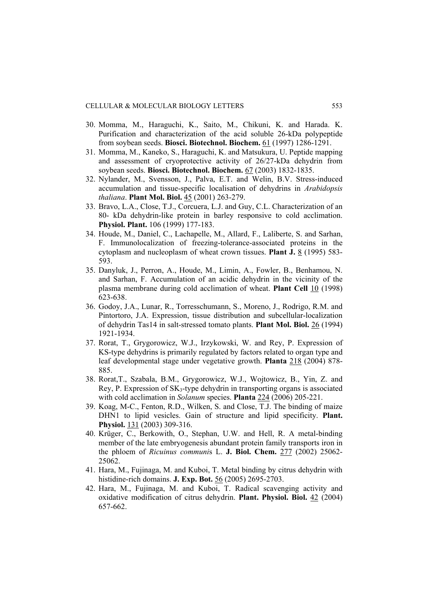- 30. Momma, M., Haraguchi, K., Saito, M., Chikuni, K. and Harada. K. Purification and characterization of the acid soluble 26-kDa polypeptide from soybean seeds. **Biosci. Biotechnol. Biochem.** 61 (1997) 1286-1291.
- 31. Momma, M., Kaneko, S., Haraguchi, K. and Matsukura, U. Peptide mapping and assessment of cryoprotective activity of 26/27-kDa dehydrin from soybean seeds. **Biosci. Biotechnol. Biochem.** 67 (2003) 1832-1835.
- 32. Nylander, M., Svensson, J., Palva, E.T. and Welin, B.V. Stress-induced accumulation and tissue-specific localisation of dehydrins in *Arabidopsis thaliana*. **Plant Mol. Biol.** 45 (2001) 263-279.
- 33. Bravo, L.A., Close, T.J., Corcuera, L.J. and Guy, C.L. Characterization of an 80- kDa dehydrin-like protein in barley responsive to cold acclimation. **Physiol. Plant.** 106 (1999) 177-183.
- 34. Houde, M., Daniel, C., Lachapelle, M., Allard, F., Laliberte, S. and Sarhan, F. Immunolocalization of freezing-tolerance-associated proteins in the cytoplasm and nucleoplasm of wheat crown tissues. **Plant J.** 8 (1995) 583- 593.
- 35. Danyluk, J., Perron, A., Houde, M., Limin, A., Fowler, B., Benhamou, N. and Sarhan, F. Accumulation of an acidic dehydrin in the vicinity of the plasma membrane during cold acclimation of wheat. **Plant Cell** 10 (1998) 623-638.
- 36. Godoy, J.A., Lunar, R., Torresschumann, S., Moreno, J., Rodrigo, R.M. and Pintortoro, J.A. Expression, tissue distribution and subcellular-localization of dehydrin Tas14 in salt-stressed tomato plants. **Plant Mol. Biol.** 26 (1994) 1921-1934.
- 37. Rorat, T., Grygorowicz, W.J., Irzykowski, W. and Rey, P. Expression of KS-type dehydrins is primarily regulated by factors related to organ type and leaf developmental stage under vegetative growth. **Planta** 218 (2004) 878- 885.
- 38. Rorat,T., Szabala, B.M., Grygorowicz, W.J., Wojtowicz, B., Yin, Z. and Rey, P. Expression of SK<sub>3</sub>-type dehydrin in transporting organs is associated with cold acclimation in *Solanum* species. **Planta** 224 (2006) 205-221.
- 39. Koag, M-C., Fenton, R.D., Wilken, S. and Close, T.J. The binding of maize DHN1 to lipid vesicles. Gain of structure and lipid specificity. **Plant. Physiol.** 131 (2003) 309-316.
- 40. Krüger, C., Berkowith, O., Stephan, U.W. and Hell, R. A metal-binding member of the late embryogenesis abundant protein family transports iron in the phloem of *Ricuinus communi*s L. **J. Biol. Chem.** 277 (2002) 25062- 25062.
- 41. Hara, M., Fujinaga, M. and Kuboi, T. Metal binding by citrus dehydrin with histidine-rich domains. **J. Exp. Bot.** 56 (2005) 2695-2703.
- 42. Hara, M., Fujinaga, M. and Kuboi, T. Radical scavenging activity and oxidative modification of citrus dehydrin. **Plant. Physiol. Biol.** 42 (2004) 657-662.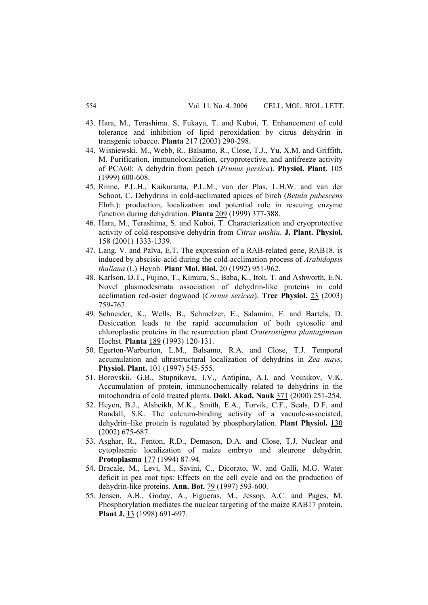- 43. Hara, M., Terashima. S, Fukaya, T. and Kuboi, T. Enhancement of cold tolerance and inhibition of lipid peroxidation by citrus dehydrin in transgenic tobacco. **Planta** 217 (2003) 290-298.
- 44. Wisniewski, M., Webb, R., Balsamo, R., Close, T.J., Yu, X.M. and Griffith, M. Purification, immunolocalization, cryoprotective, and antifreeze activity of PCA60: A dehydrin from peach (*Prunus persica*). **Physiol. Plant.** 105 (1999) 600-608.
- 45. Rinne, P.L.H., Kaikuranta, P.L.M., van der Plas, L.H.W. and van der Schoot, C. Dehydrins in cold-acclimated apices of birch (*Betula pubescens* Ehrh.): production, localization and potential role in rescuing enzyme function during dehydration. **Planta** 209 (1999) 377-388.
- 46. Hara, M., Terashima, S. and Kuboi, T. Characterization and cryoprotective activity of cold-responsive dehydrin from *Citrus unshiu*. **J. Plant. Physiol.** 158 (2001) 1333-1339.
- 47. Lang, V. and Palva, E.T. The expression of a RAB-related gene, RAB18, is induced by abscisic-acid during the cold-acclimation process of *Arabidopsis thaliana* (L) Heynh. **Plant Mol. Biol.** 20 (1992) 951-962.
- 48. Karlson, D.T., Fujino, T., Kimura, S., Baba, K., Itoh, T. and Ashworth, E.N. Novel plasmodesmata association of dehydrin-like proteins in cold acclimation red-osier dogwood (*Cornus sericea*). **Tree Physiol.** 23 (2003) 759-767.
- 49. Schneider, K., Wells, B., Schmelzer, E., Salamini, F. and Bartels, D. Desiccation leads to the rapid accumulation of both cytosolic and chloroplastic proteins in the resurrection plant *Craterostigma plantagineum* Hochst. **Planta** 189 (1993) 120-131.
- 50. Egerton-Warburton, L.M., Balsamo, R.A. and Close, T.J. Temporal accumulation and ultrastructural localization of dehydrins in *Zea mays*. **Physiol. Plant.** 101 (1997) 545-555.
- 51. Borovskii, G.B., Stupnikova, I.V., Antipina, A.I. and Voinikov, V.K. Accumulation of protein, immunochemically related to dehydrins in the mitochondria of cold treated plants. **Dokl. Akad. Nauk** 371 (2000) 251-254.
- 52. Heyen, B.J., Alsheikh, M.K., Smith, E.A., Torvik, C.F., Seals, D.F. and Randall, S.K. The calcium-binding activity of a vacuole-associated, dehydrin–like protein is regulated by phosphorylation. **Plant Physiol.** 130 (2002) 675-687.
- 53. Asghar, R., Fenton, R.D., Demason, D.A. and Close, T.J. Nuclear and cytoplasmic localization of maize embryo and aleurone dehydrin. **Protoplasma** 177 (1994) 87-94.
- 54. Bracale, M., Levi, M., Savini, C., Dicorato, W. and Galli, M.G. Water deficit in pea root tips: Effects on the cell cycle and on the production of dehydrin-like proteins. **Ann. Bot.** 79 (1997) 593-600.
- 55. Jensen, A.B., Goday, A., Figueras, M., Jessop, A.C. and Pages, M. Phosphorylation mediates the nuclear targeting of the maize RAB17 protein. **Plant J.** 13 (1998) 691-697.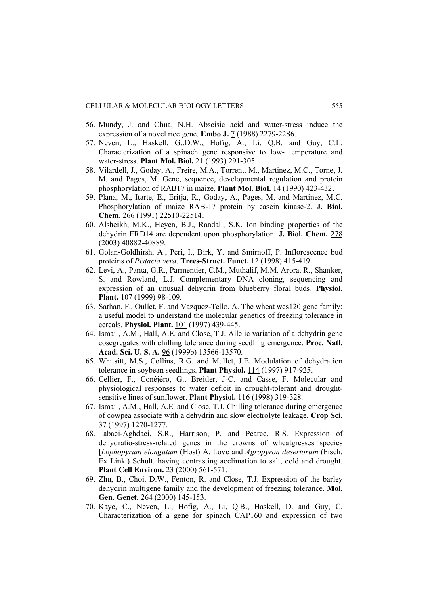- 56. Mundy, J. and Chua, N.H. Abscisic acid and water-stress induce the expression of a novel rice gene. **Embo J.** 7 (1988) 2279-2286.
- 57. Neven, L., Haskell, G.,D.W., Hofig, A., Li, Q.B. and Guy, C.L. Characterization of a spinach gene responsive to low- temperature and water-stress. **Plant Mol. Biol.** 21 (1993) 291-305.
- 58. Vilardell, J., Goday, A., Freire, M.A., Torrent, M., Martinez, M.C., Torne, J. M. and Pages, M. Gene, sequence, developmental regulation and protein phosphorylation of RAB17 in maize. **Plant Mol. Biol.** 14 (1990) 423-432.
- 59. Plana, M., Itarte, E., Eritja, R., Goday, A., Pages, M. and Martinez, M.C. Phosphorylation of maize RAB-17 protein by casein kinase-2. **J. Biol. Chem.** 266 (1991) 22510-22514.
- 60. Alsheikh, M.K., Heyen, B.J., Randall, S.K. Ion binding properties of the dehydrin ERD14 are dependent upon phosphorylation. **J. Biol. Chem.** 278 (2003) 40882-40889.
- 61. Golan-Goldhirsh, A., Peri, I., Birk, Y. and Smirnoff, P. Inflorescence bud proteins of *Pistacia vera*. **Trees-Struct. Funct.** 12 (1998) 415-419.
- 62. Levi, A., Panta, G.R., Parmentier, C.M., Muthalif, M.M. Arora, R., Shanker, S. and Rowland, L.J. Complementary DNA cloning, sequencing and expression of an unusual dehydrin from blueberry floral buds. **Physiol. Plant.** 107 (1999) 98-109.
- 63. Sarhan, F., Oullet, F. and Vazquez-Tello, A. The wheat wcs120 gene family: a useful model to understand the molecular genetics of freezing tolerance in cereals. **Physiol. Plant.** 101 (1997) 439-445.
- 64. Ismail, A.M., Hall, A.E. and Close, T.J. Allelic variation of a dehydrin gene cosegregates with chilling tolerance during seedling emergence. **Proc. Natl. Acad. Sci. U. S. A.** 96 (1999b) 13566-13570.
- 65. Whitsitt, M.S., Collins, R.G. and Mullet, J.E. Modulation of dehydration tolerance in soybean seedlings. **Plant Physiol.** 114 (1997) 917-925.
- 66. Cellier, F., Conéjéro, G., Breitler, J-C. and Casse, F. Molecular and physiological responses to water deficit in drought-tolerant and droughtsensitive lines of sunflower. **Plant Physiol.** 116 (1998) 319-328.
- 67. Ismail, A.M., Hall, A.E. and Close, T.J. Chilling tolerance during emergence of cowpea associate with a dehydrin and slow electrolyte leakage. **Crop Sci.** 37 (1997) 1270-1277.
- 68. Tabaei-Aghdaei, S.R., Harrison, P. and Pearce, R.S. Expression of dehydratio-stress-related genes in the crowns of wheatgresses species [*Lophopyrum elongatum* (Host) A. Love and *Agropyron desertorum* (Fisch. Ex Link.) Schult. having contrasting acclimation to salt, cold and drought. **Plant Cell Environ.** 23 (2000) 561-571.
- 69. Zhu, B., Choi, D.W., Fenton, R. and Close, T.J. Expression of the barley dehydrin multigene family and the development of freezing tolerance. **Mol.**  Gen. Genet. 264 (2000) 145-153.
- 70. Kaye, C., Neven, L., Hofig, A., Li, Q.B., Haskell, D. and Guy, C. Characterization of a gene for spinach CAP160 and expression of two